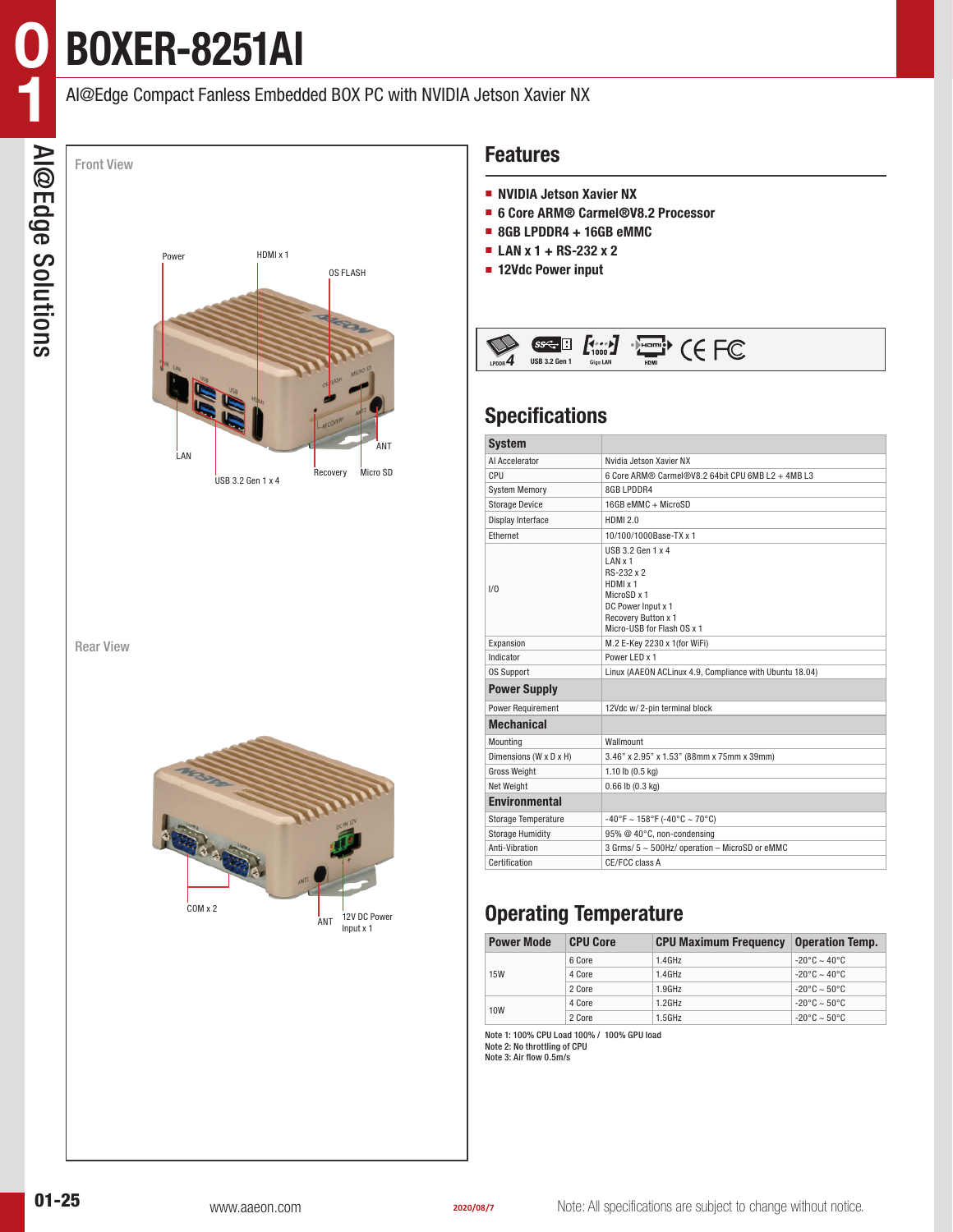# **BOXER-8251AI**

## AI@Edge Compact Fanless Embedded BOX PC with NVIDIA Jetson Xavier NX



Rear View



#### **Features**

- **NVIDIA Jetson Xavier NX**
- **6 Core ARM® Carmel®V8.2 Processor**
- **8GB LPDDR4 + 16GB eMMC**
- **LAN x 1 + RS-232 x 2**
- **12Vdc Power input**



# **Specifications**

| <b>System</b>              |                                                                                                                                                  |  |  |  |  |  |
|----------------------------|--------------------------------------------------------------------------------------------------------------------------------------------------|--|--|--|--|--|
| Al Accelerator             | Nvidia Jetson Xavier NX                                                                                                                          |  |  |  |  |  |
| CPU                        | 6 Core ARM® Carmel®V8.2 64bit CPU 6MB L2 + 4MB L3                                                                                                |  |  |  |  |  |
| <b>System Memory</b>       | 8GB LPDDR4                                                                                                                                       |  |  |  |  |  |
| <b>Storage Device</b>      | 16GB eMMC + MicroSD                                                                                                                              |  |  |  |  |  |
| Display Interface          | <b>HDMI 2.0</b>                                                                                                                                  |  |  |  |  |  |
| Ethernet                   | 10/100/1000Base-TX x 1                                                                                                                           |  |  |  |  |  |
| 1/0                        | USB 3.2 Gen 1 x 4<br>LAN x 1<br>RS-232 x 2<br>HDMI x 1<br>MicroSD x 1<br>DC Power Input x 1<br>Recovery Button x 1<br>Micro-USB for Flash OS x 1 |  |  |  |  |  |
| Expansion                  | M.2 E-Key 2230 x 1(for WiFi)                                                                                                                     |  |  |  |  |  |
| Indicator                  | Power LED x 1                                                                                                                                    |  |  |  |  |  |
| <b>OS Support</b>          | Linux (AAEON ACLinux 4.9, Compliance with Ubuntu 18.04)                                                                                          |  |  |  |  |  |
| <b>Power Supply</b>        |                                                                                                                                                  |  |  |  |  |  |
| <b>Power Requirement</b>   | 12Vdc w/2-pin terminal block                                                                                                                     |  |  |  |  |  |
| <b>Mechanical</b>          |                                                                                                                                                  |  |  |  |  |  |
| Mounting                   | Wallmount                                                                                                                                        |  |  |  |  |  |
| Dimensions (W x D x H)     | 3.46" x 2.95" x 1.53" (88mm x 75mm x 39mm)                                                                                                       |  |  |  |  |  |
| <b>Gross Weight</b>        | 1.10 lb $(0.5 \text{ kg})$                                                                                                                       |  |  |  |  |  |
| Net Weight                 | $0.66$ lb $(0.3$ kg)                                                                                                                             |  |  |  |  |  |
| <b>Environmental</b>       |                                                                                                                                                  |  |  |  |  |  |
| <b>Storage Temperature</b> | $-40^{\circ}$ F ~ 158°F (-40°C ~ 70°C)                                                                                                           |  |  |  |  |  |
| <b>Storage Humidity</b>    | 95% @ 40°C, non-condensing                                                                                                                       |  |  |  |  |  |
| Anti-Vihration             | 3 Grms/ 5 ~ 500Hz/ operation - MicroSD or eMMC                                                                                                   |  |  |  |  |  |
| Certification              | CE/FCC class A                                                                                                                                   |  |  |  |  |  |

# **Operating Temperature**

| <b>Power Mode</b> | <b>CPU Core</b> | <b>CPU Maximum Frequency</b> | <b>Operation Temp.</b> |  |
|-------------------|-----------------|------------------------------|------------------------|--|
| <b>15W</b>        | 6 Core          | 1.4GHz                       | $-20^{\circ}$ C ~ 40°C |  |
|                   | 4 Core          | 1.4GHz                       | $-20^{\circ}$ C ~ 40°C |  |
|                   | 2 Core          | 1.9GHz                       | $-20^{\circ}$ C ~ 50°C |  |
| 10W               | 4 Core          | $1.2$ GHz                    | $-20^{\circ}$ C ~ 50°C |  |
|                   | 2 Core          | $1.5$ GHz                    | $-20^{\circ}$ C ~ 50°C |  |

Note 1: 100% CPU Load 100% / 100% GPU load Note 2: No throttling of CPU

Note 3: Air flow 0.5m/s

**0**

**1**